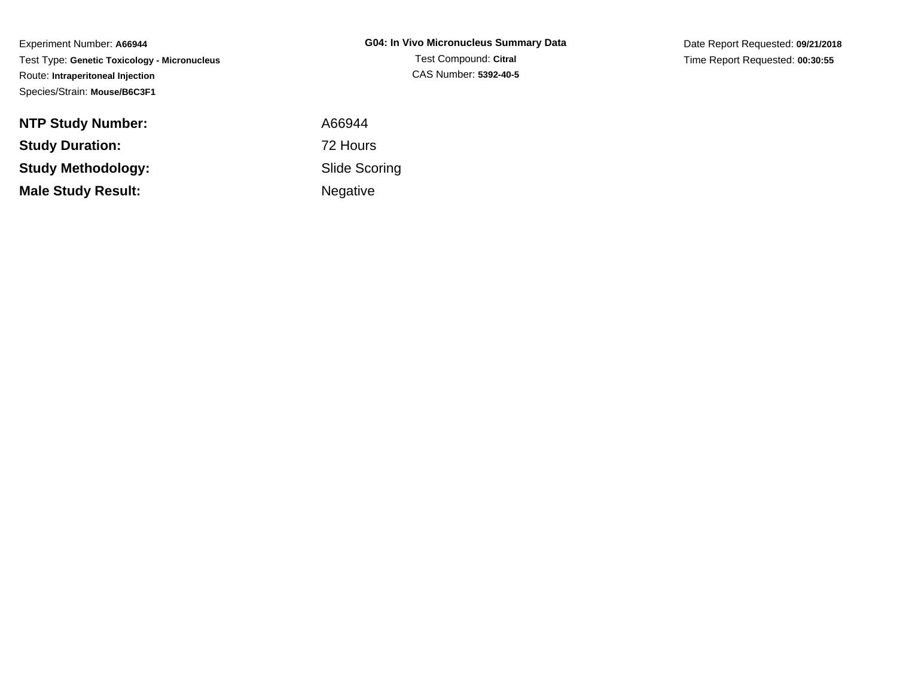Experiment Number: **A66944** Test Type: **Genetic Toxicology - Micronucleus**Route: **Intraperitoneal Injection**Species/Strain: **Mouse/B6C3F1**

Date Report Requested: **09/21/2018**Time Report Requested: **00:30:55**

| <b>NTP Study Number:</b>  |  |
|---------------------------|--|
| <b>Study Duration:</b>    |  |
| <b>Study Methodology:</b> |  |
| <b>Male Study Result:</b> |  |

 A66944 72 Hours Slide ScoringNegative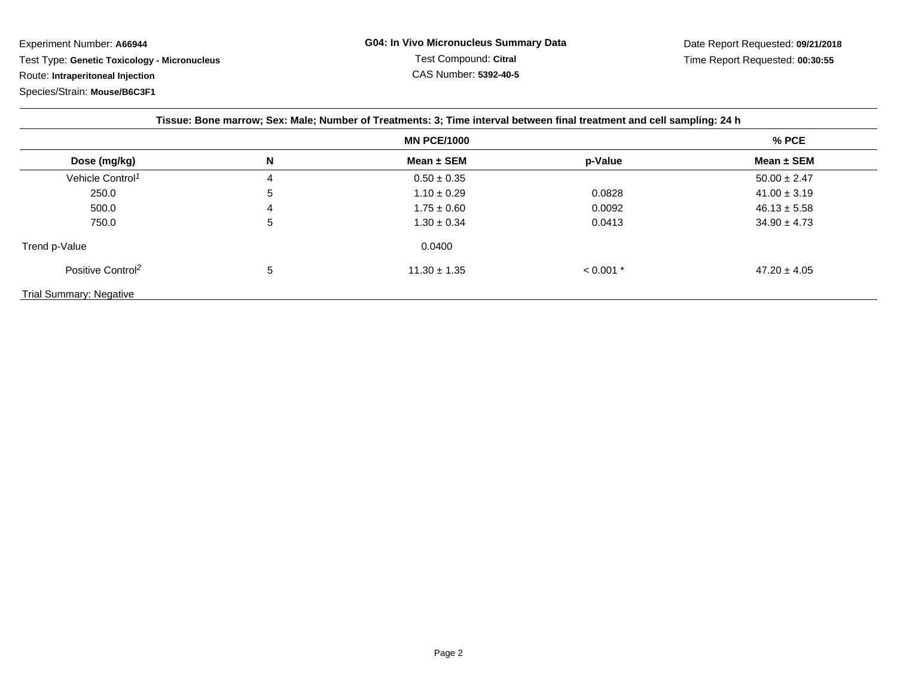Experiment Number: **A66944**

Test Type: **Genetic Toxicology - Micronucleus**

Route: **Intraperitoneal Injection**

Species/Strain: **Mouse/B6C3F1**

| Tissue: Bone marrow; Sex: Male; Number of Treatments: 3; Time interval between final treatment and cell sampling: 24 h |                    |                  |             |                  |  |  |
|------------------------------------------------------------------------------------------------------------------------|--------------------|------------------|-------------|------------------|--|--|
|                                                                                                                        | <b>MN PCE/1000</b> |                  |             |                  |  |  |
| Dose (mg/kg)                                                                                                           | N                  | Mean $\pm$ SEM   | p-Value     | Mean $\pm$ SEM   |  |  |
| Vehicle Control <sup>1</sup>                                                                                           | 4                  | $0.50 \pm 0.35$  |             | $50.00 \pm 2.47$ |  |  |
| 250.0                                                                                                                  | 5                  | $1.10 \pm 0.29$  | 0.0828      | $41.00 \pm 3.19$ |  |  |
| 500.0                                                                                                                  | 4                  | $1.75 \pm 0.60$  | 0.0092      | $46.13 \pm 5.58$ |  |  |
| 750.0                                                                                                                  | 5                  | $1.30 \pm 0.34$  | 0.0413      | $34.90 \pm 4.73$ |  |  |
| Trend p-Value                                                                                                          |                    | 0.0400           |             |                  |  |  |
| Positive Control <sup>2</sup>                                                                                          | 5                  | $11.30 \pm 1.35$ | $< 0.001$ * | $47.20 \pm 4.05$ |  |  |
| <b>Trial Summary: Negative</b>                                                                                         |                    |                  |             |                  |  |  |